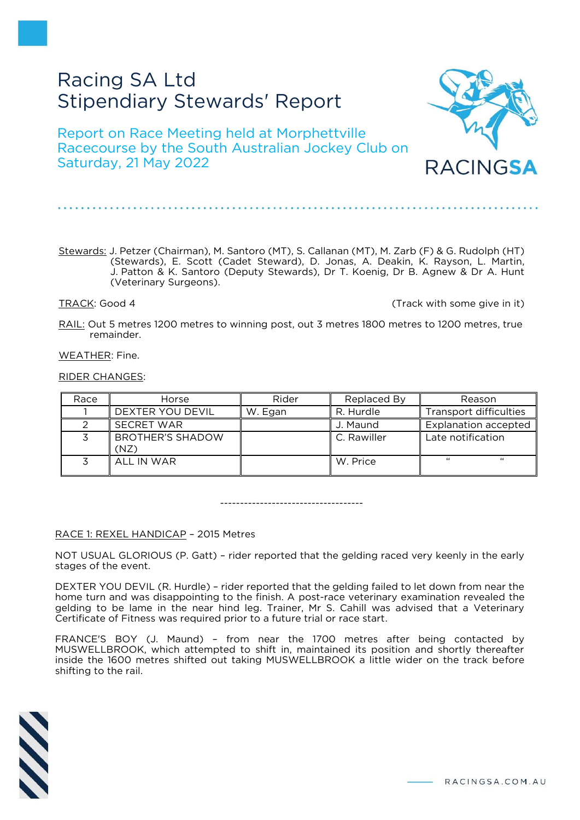# Racing SA Ltd Stipendiary Stewards' Report

Report on Race Meeting held at Morphettville Racecourse by the South Australian Jockey Club on Saturday, 21 May 2022

Stewards: J. Petzer (Chairman), M. Santoro (MT), S. Callanan (MT), M. Zarb (F) & G. Rudolph (HT) (Stewards), E. Scott (Cadet Steward), D. Jonas, A. Deakin, K. Rayson, L. Martin, J. Patton & K. Santoro (Deputy Stewards), Dr T. Koenig, Dr B. Agnew & Dr A. Hunt (Veterinary Surgeons).

TRACK: Good 4 (Track with some give in it)

RACINGSA

RAIL: Out 5 metres 1200 metres to winning post, out 3 metres 1800 metres to 1200 metres, true remainder.

WEATHER: Fine.

#### RIDER CHANGES:

| Race | Horse                           | Rider   | Replaced By | Reason                      |
|------|---------------------------------|---------|-------------|-----------------------------|
|      | DEXTER YOU DEVIL                | W. Egan | R. Hurdle   | Transport difficulties      |
|      | <b>SECRET WAR</b>               |         | J. Maund    | <b>Explanation accepted</b> |
|      | <b>BROTHER'S SHADOW</b><br>(NZ) |         | C. Rawiller | Late notification           |
|      | ALL IN WAR                      |         | W. Price    | $\epsilon$<br>$\epsilon$    |

------------------------------------

#### RACE 1: REXEL HANDICAP – 2015 Metres

NOT USUAL GLORIOUS (P. Gatt) – rider reported that the gelding raced very keenly in the early stages of the event.

DEXTER YOU DEVIL (R. Hurdle) – rider reported that the gelding failed to let down from near the home turn and was disappointing to the finish. A post-race veterinary examination revealed the gelding to be lame in the near hind leg. Trainer, Mr S. Cahill was advised that a Veterinary Certificate of Fitness was required prior to a future trial or race start.

FRANCE'S BOY (J. Maund) – from near the 1700 metres after being contacted by MUSWELLBROOK, which attempted to shift in, maintained its position and shortly thereafter inside the 1600 metres shifted out taking MUSWELLBROOK a little wider on the track before shifting to the rail.

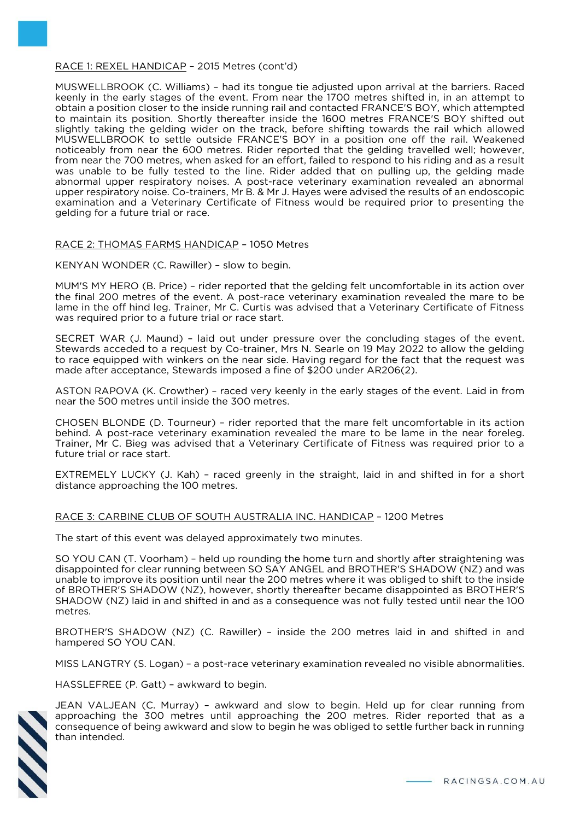#### RACE 1: REXEL HANDICAP – 2015 Metres (cont'd)

MUSWELLBROOK (C. Williams) – had its tongue tie adjusted upon arrival at the barriers. Raced keenly in the early stages of the event. From near the 1700 metres shifted in, in an attempt to obtain a position closer to the inside running rail and contacted FRANCE'S BOY, which attempted to maintain its position. Shortly thereafter inside the 1600 metres FRANCE'S BOY shifted out slightly taking the gelding wider on the track, before shifting towards the rail which allowed MUSWELLBROOK to settle outside FRANCE'S BOY in a position one off the rail. Weakened noticeably from near the 600 metres. Rider reported that the gelding travelled well; however, from near the 700 metres, when asked for an effort, failed to respond to his riding and as a result was unable to be fully tested to the line. Rider added that on pulling up, the gelding made abnormal upper respiratory noises. A post-race veterinary examination revealed an abnormal upper respiratory noise. Co-trainers, Mr B. & Mr J. Hayes were advised the results of an endoscopic examination and a Veterinary Certificate of Fitness would be required prior to presenting the gelding for a future trial or race.

# RACE 2: THOMAS FARMS HANDICAP – 1050 Metres

KENYAN WONDER (C. Rawiller) – slow to begin.

MUM'S MY HERO (B. Price) – rider reported that the gelding felt uncomfortable in its action over the final 200 metres of the event. A post-race veterinary examination revealed the mare to be lame in the off hind leg. Trainer, Mr C. Curtis was advised that a Veterinary Certificate of Fitness was required prior to a future trial or race start.

SECRET WAR (J. Maund) – laid out under pressure over the concluding stages of the event. Stewards acceded to a request by Co-trainer, Mrs N. Searle on 19 May 2022 to allow the gelding to race equipped with winkers on the near side. Having regard for the fact that the request was made after acceptance, Stewards imposed a fine of \$200 under AR206(2).

ASTON RAPOVA (K. Crowther) – raced very keenly in the early stages of the event. Laid in from near the 500 metres until inside the 300 metres.

CHOSEN BLONDE (D. Tourneur) – rider reported that the mare felt uncomfortable in its action behind. A post-race veterinary examination revealed the mare to be lame in the near foreleg. Trainer, Mr C. Bieg was advised that a Veterinary Certificate of Fitness was required prior to a future trial or race start.

EXTREMELY LUCKY (J. Kah) – raced greenly in the straight, laid in and shifted in for a short distance approaching the 100 metres.

# RACE 3: CARBINE CLUB OF SOUTH AUSTRALIA INC. HANDICAP – 1200 Metres

The start of this event was delayed approximately two minutes.

SO YOU CAN (T. Voorham) – held up rounding the home turn and shortly after straightening was disappointed for clear running between SO SAY ANGEL and BROTHER'S SHADOW (NZ) and was unable to improve its position until near the 200 metres where it was obliged to shift to the inside of BROTHER'S SHADOW (NZ), however, shortly thereafter became disappointed as BROTHER'S SHADOW (NZ) laid in and shifted in and as a consequence was not fully tested until near the 100 metres.

BROTHER'S SHADOW (NZ) (C. Rawiller) – inside the 200 metres laid in and shifted in and hampered SO YOU CAN.

MISS LANGTRY (S. Logan) – a post-race veterinary examination revealed no visible abnormalities.

HASSLEFREE (P. Gatt) – awkward to begin.



JEAN VALJEAN (C. Murray) – awkward and slow to begin. Held up for clear running from approaching the 300 metres until approaching the 200 metres. Rider reported that as a consequence of being awkward and slow to begin he was obliged to settle further back in running than intended.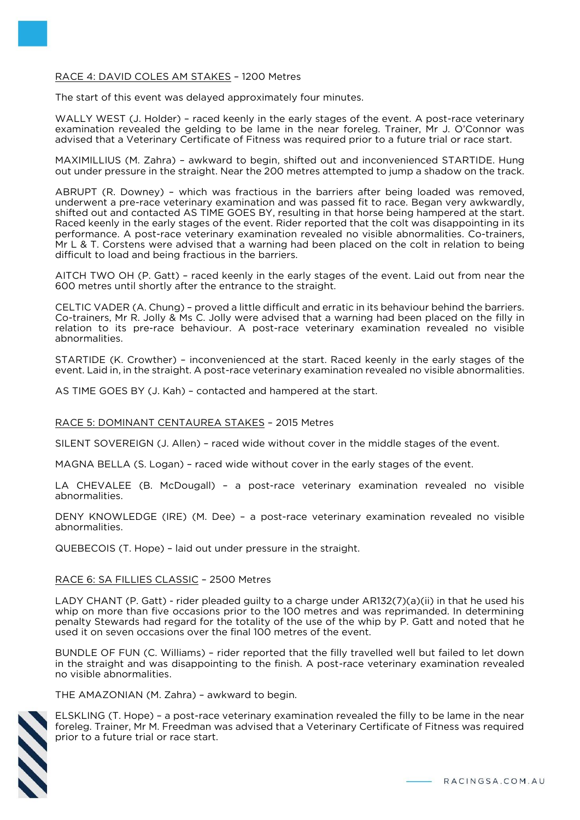# RACE 4: DAVID COLES AM STAKES – 1200 Metres

The start of this event was delayed approximately four minutes.

WALLY WEST (J. Holder) - raced keenly in the early stages of the event. A post-race veterinary examination revealed the gelding to be lame in the near foreleg. Trainer, Mr J. O'Connor was advised that a Veterinary Certificate of Fitness was required prior to a future trial or race start.

MAXIMILLIUS (M. Zahra) – awkward to begin, shifted out and inconvenienced STARTIDE. Hung out under pressure in the straight. Near the 200 metres attempted to jump a shadow on the track.

ABRUPT (R. Downey) – which was fractious in the barriers after being loaded was removed, underwent a pre-race veterinary examination and was passed fit to race. Began very awkwardly, shifted out and contacted AS TIME GOES BY, resulting in that horse being hampered at the start. Raced keenly in the early stages of the event. Rider reported that the colt was disappointing in its performance. A post-race veterinary examination revealed no visible abnormalities. Co-trainers, Mr L & T. Corstens were advised that a warning had been placed on the colt in relation to being difficult to load and being fractious in the barriers.

AITCH TWO OH (P. Gatt) – raced keenly in the early stages of the event. Laid out from near the 600 metres until shortly after the entrance to the straight.

CELTIC VADER (A. Chung) – proved a little difficult and erratic in its behaviour behind the barriers. Co-trainers, Mr R. Jolly & Ms C. Jolly were advised that a warning had been placed on the filly in relation to its pre-race behaviour. A post-race veterinary examination revealed no visible abnormalities.

STARTIDE (K. Crowther) – inconvenienced at the start. Raced keenly in the early stages of the event. Laid in, in the straight. A post-race veterinary examination revealed no visible abnormalities.

AS TIME GOES BY (J. Kah) – contacted and hampered at the start.

#### RACE 5: DOMINANT CENTAUREA STAKES – 2015 Metres

SILENT SOVEREIGN (J. Allen) – raced wide without cover in the middle stages of the event.

MAGNA BELLA (S. Logan) – raced wide without cover in the early stages of the event.

LA CHEVALEE (B. McDougall) – a post-race veterinary examination revealed no visible abnormalities.

DENY KNOWLEDGE (IRE) (M. Dee) – a post-race veterinary examination revealed no visible abnormalities.

QUEBECOIS (T. Hope) – laid out under pressure in the straight.

#### RACE 6: SA FILLIES CLASSIC – 2500 Metres

LADY CHANT (P. Gatt) - rider pleaded guilty to a charge under AR132(7)(a)(ii) in that he used his whip on more than five occasions prior to the 100 metres and was reprimanded. In determining penalty Stewards had regard for the totality of the use of the whip by P. Gatt and noted that he used it on seven occasions over the final 100 metres of the event.

BUNDLE OF FUN (C. Williams) – rider reported that the filly travelled well but failed to let down in the straight and was disappointing to the finish. A post-race veterinary examination revealed no visible abnormalities.

THE AMAZONIAN (M. Zahra) – awkward to begin.



ELSKLING (T. Hope) – a post-race veterinary examination revealed the filly to be lame in the near foreleg. Trainer, Mr M. Freedman was advised that a Veterinary Certificate of Fitness was required prior to a future trial or race start.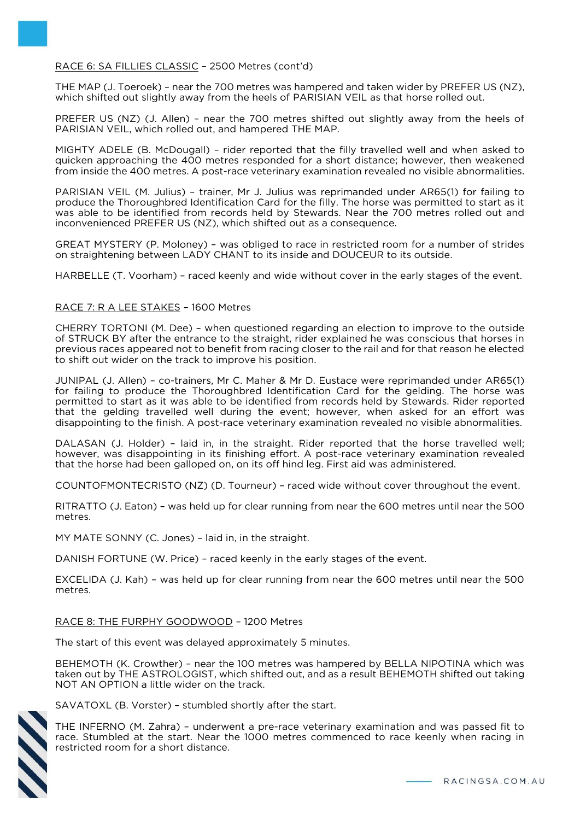# RACE 6: SA FILLIES CLASSIC – 2500 Metres (cont'd)

THE MAP (J. Toeroek) – near the 700 metres was hampered and taken wider by PREFER US (NZ), which shifted out slightly away from the heels of PARISIAN VEIL as that horse rolled out.

PREFER US (NZ) (J. Allen) – near the 700 metres shifted out slightly away from the heels of PARISIAN VEIL, which rolled out, and hampered THE MAP.

MIGHTY ADELE (B. McDougall) – rider reported that the filly travelled well and when asked to quicken approaching the 400 metres responded for a short distance; however, then weakened from inside the 400 metres. A post-race veterinary examination revealed no visible abnormalities.

PARISIAN VEIL (M. Julius) – trainer, Mr J. Julius was reprimanded under AR65(1) for failing to produce the Thoroughbred Identification Card for the filly. The horse was permitted to start as it was able to be identified from records held by Stewards. Near the 700 metres rolled out and inconvenienced PREFER US (NZ), which shifted out as a consequence.

GREAT MYSTERY (P. Moloney) – was obliged to race in restricted room for a number of strides on straightening between LADY CHANT to its inside and DOUCEUR to its outside.

HARBELLE (T. Voorham) – raced keenly and wide without cover in the early stages of the event.

# RACE 7: R A LEE STAKES – 1600 Metres

CHERRY TORTONI (M. Dee) – when questioned regarding an election to improve to the outside of STRUCK BY after the entrance to the straight, rider explained he was conscious that horses in previous races appeared not to benefit from racing closer to the rail and for that reason he elected to shift out wider on the track to improve his position.

JUNIPAL (J. Allen) – co-trainers, Mr C. Maher & Mr D. Eustace were reprimanded under AR65(1) for failing to produce the Thoroughbred Identification Card for the gelding. The horse was permitted to start as it was able to be identified from records held by Stewards. Rider reported that the gelding travelled well during the event; however, when asked for an effort was disappointing to the finish. A post-race veterinary examination revealed no visible abnormalities.

DALASAN (J. Holder) – laid in, in the straight. Rider reported that the horse travelled well; however, was disappointing in its finishing effort. A post-race veterinary examination revealed that the horse had been galloped on, on its off hind leg. First aid was administered.

COUNTOFMONTECRISTO (NZ) (D. Tourneur) – raced wide without cover throughout the event.

RITRATTO (J. Eaton) – was held up for clear running from near the 600 metres until near the 500 metres.

MY MATE SONNY (C. Jones) – laid in, in the straight.

DANISH FORTUNE (W. Price) – raced keenly in the early stages of the event.

EXCELIDA (J. Kah) – was held up for clear running from near the 600 metres until near the 500 metres.

# RACE 8: THE FURPHY GOODWOOD – 1200 Metres

The start of this event was delayed approximately 5 minutes.

BEHEMOTH (K. Crowther) – near the 100 metres was hampered by BELLA NIPOTINA which was taken out by THE ASTROLOGIST, which shifted out, and as a result BEHEMOTH shifted out taking NOT AN OPTION a little wider on the track.



SAVATOXL (B. Vorster) – stumbled shortly after the start.

THE INFERNO (M. Zahra) – underwent a pre-race veterinary examination and was passed fit to race. Stumbled at the start. Near the 1000 metres commenced to race keenly when racing in restricted room for a short distance.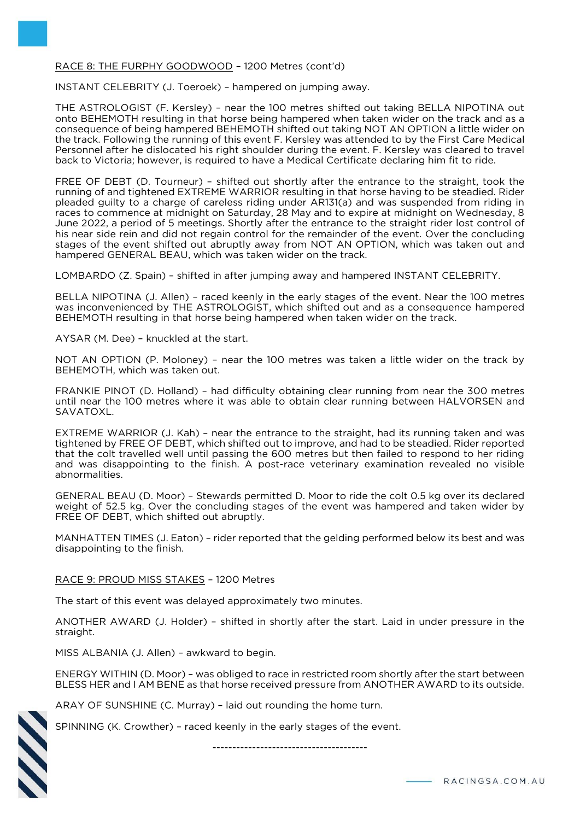# RACE 8: THE FURPHY GOODWOOD – 1200 Metres (cont'd)

INSTANT CELEBRITY (J. Toeroek) – hampered on jumping away.

THE ASTROLOGIST (F. Kersley) – near the 100 metres shifted out taking BELLA NIPOTINA out onto BEHEMOTH resulting in that horse being hampered when taken wider on the track and as a consequence of being hampered BEHEMOTH shifted out taking NOT AN OPTION a little wider on the track. Following the running of this event F. Kersley was attended to by the First Care Medical Personnel after he dislocated his right shoulder during the event. F. Kersley was cleared to travel back to Victoria; however, is required to have a Medical Certificate declaring him fit to ride.

FREE OF DEBT (D. Tourneur) – shifted out shortly after the entrance to the straight, took the running of and tightened EXTREME WARRIOR resulting in that horse having to be steadied. Rider pleaded guilty to a charge of careless riding under AR131(a) and was suspended from riding in races to commence at midnight on Saturday, 28 May and to expire at midnight on Wednesday, 8 June 2022, a period of 5 meetings. Shortly after the entrance to the straight rider lost control of his near side rein and did not regain control for the remainder of the event. Over the concluding stages of the event shifted out abruptly away from NOT AN OPTION, which was taken out and hampered GENERAL BEAU, which was taken wider on the track.

LOMBARDO (Z. Spain) – shifted in after jumping away and hampered INSTANT CELEBRITY.

BELLA NIPOTINA (J. Allen) – raced keenly in the early stages of the event. Near the 100 metres was inconvenienced by THE ASTROLOGIST, which shifted out and as a consequence hampered BEHEMOTH resulting in that horse being hampered when taken wider on the track.

AYSAR (M. Dee) – knuckled at the start.

NOT AN OPTION (P. Moloney) – near the 100 metres was taken a little wider on the track by BEHEMOTH, which was taken out.

FRANKIE PINOT (D. Holland) – had difficulty obtaining clear running from near the 300 metres until near the 100 metres where it was able to obtain clear running between HALVORSEN and SAVATOXL.

EXTREME WARRIOR (J. Kah) – near the entrance to the straight, had its running taken and was tightened by FREE OF DEBT, which shifted out to improve, and had to be steadied. Rider reported that the colt travelled well until passing the 600 metres but then failed to respond to her riding and was disappointing to the finish. A post-race veterinary examination revealed no visible abnormalities.

GENERAL BEAU (D. Moor) – Stewards permitted D. Moor to ride the colt 0.5 kg over its declared weight of 52.5 kg. Over the concluding stages of the event was hampered and taken wider by FREE OF DEBT, which shifted out abruptly.

MANHATTEN TIMES (J. Eaton) – rider reported that the gelding performed below its best and was disappointing to the finish.

RACE 9: PROUD MISS STAKES – 1200 Metres

The start of this event was delayed approximately two minutes.

ANOTHER AWARD (J. Holder) – shifted in shortly after the start. Laid in under pressure in the straight.

MISS ALBANIA (J. Allen) – awkward to begin.

ENERGY WITHIN (D. Moor) – was obliged to race in restricted room shortly after the start between BLESS HER and I AM BENE as that horse received pressure from ANOTHER AWARD to its outside.

ARAY OF SUNSHINE (C. Murray) – laid out rounding the home turn.

SPINNING (K. Crowther) – raced keenly in the early stages of the event.

---------------------------------------